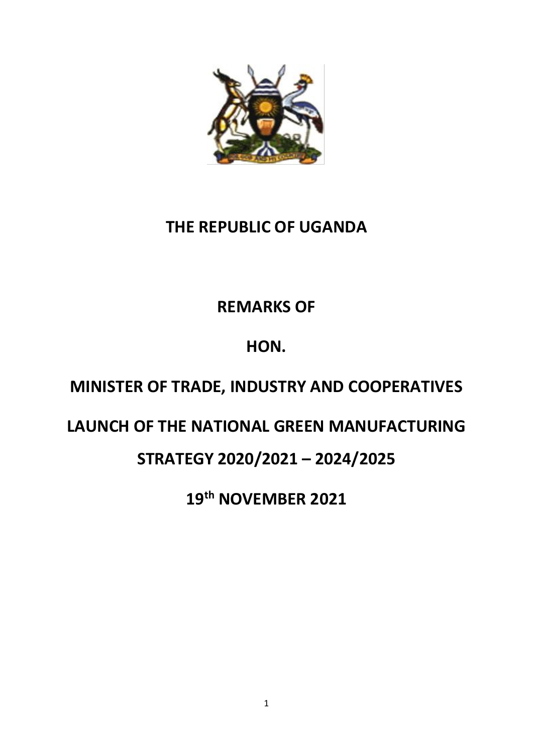

#### **THE REPUBLIC OF UGANDA**

## **REMARKS OF**

## **HON.**

## **MINISTER OF TRADE, INDUSTRY AND COOPERATIVES**

#### **LAUNCH OF THE NATIONAL GREEN MANUFACTURING**

#### **STRATEGY 2020/2021 – 2024/2025**

**19th NOVEMBER 2021**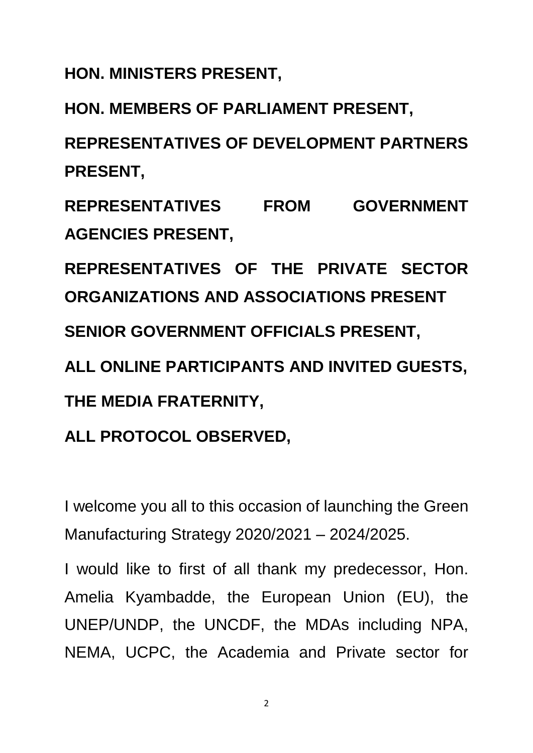**HON. MINISTERS PRESENT,**

**HON. MEMBERS OF PARLIAMENT PRESENT,**

**REPRESENTATIVES OF DEVELOPMENT PARTNERS PRESENT,**

**REPRESENTATIVES FROM GOVERNMENT AGENCIES PRESENT,**

**REPRESENTATIVES OF THE PRIVATE SECTOR ORGANIZATIONS AND ASSOCIATIONS PRESENT SENIOR GOVERNMENT OFFICIALS PRESENT,**

**ALL ONLINE PARTICIPANTS AND INVITED GUESTS, THE MEDIA FRATERNITY,**

## **ALL PROTOCOL OBSERVED,**

I welcome you all to this occasion of launching the Green Manufacturing Strategy 2020/2021 – 2024/2025.

I would like to first of all thank my predecessor, Hon. Amelia Kyambadde, the European Union (EU), the UNEP/UNDP, the UNCDF, the MDAs including NPA, NEMA, UCPC, the Academia and Private sector for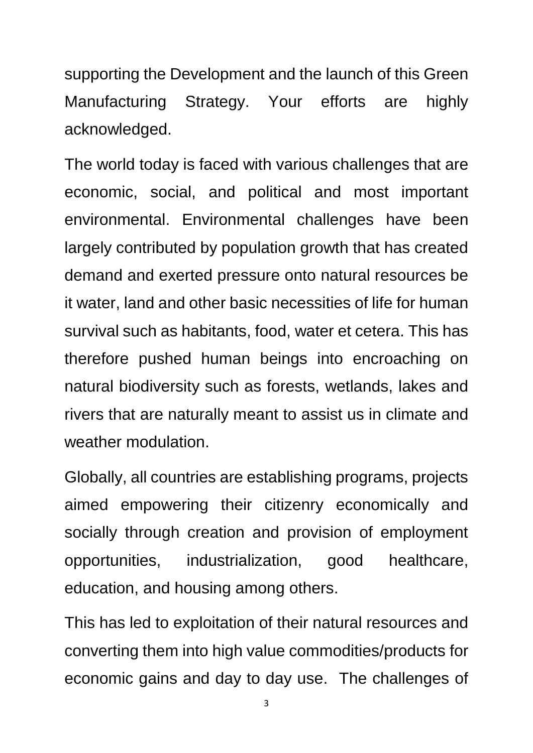supporting the Development and the launch of this Green Manufacturing Strategy. Your efforts are highly acknowledged.

The world today is faced with various challenges that are economic, social, and political and most important environmental. Environmental challenges have been largely contributed by population growth that has created demand and exerted pressure onto natural resources be it water, land and other basic necessities of life for human survival such as habitants, food, water et cetera. This has therefore pushed human beings into encroaching on natural biodiversity such as forests, wetlands, lakes and rivers that are naturally meant to assist us in climate and weather modulation.

Globally, all countries are establishing programs, projects aimed empowering their citizenry economically and socially through creation and provision of employment opportunities, industrialization, good healthcare, education, and housing among others.

This has led to exploitation of their natural resources and converting them into high value commodities/products for economic gains and day to day use. The challenges of

<sup>3</sup>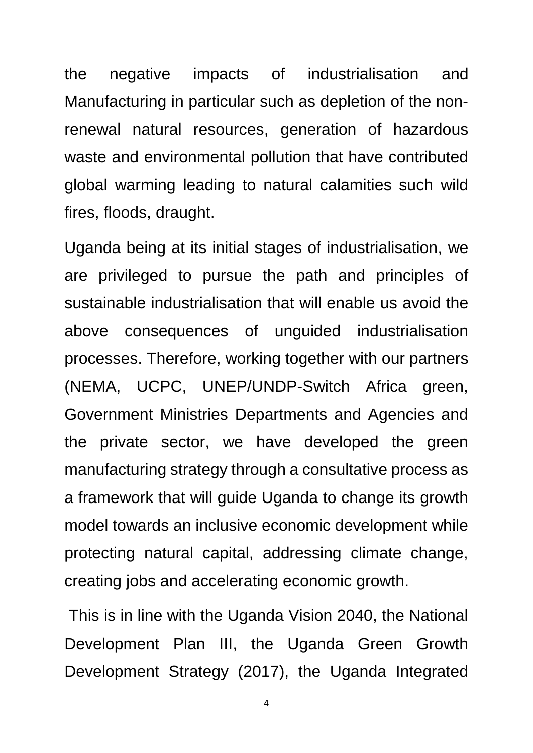the negative impacts of industrialisation and Manufacturing in particular such as depletion of the nonrenewal natural resources, generation of hazardous waste and environmental pollution that have contributed global warming leading to natural calamities such wild fires, floods, draught.

Uganda being at its initial stages of industrialisation, we are privileged to pursue the path and principles of sustainable industrialisation that will enable us avoid the above consequences of unguided industrialisation processes. Therefore, working together with our partners (NEMA, UCPC, UNEP/UNDP-Switch Africa green, Government Ministries Departments and Agencies and the private sector, we have developed the green manufacturing strategy through a consultative process as a framework that will guide Uganda to change its growth model towards an inclusive economic development while protecting natural capital, addressing climate change, creating jobs and accelerating economic growth.

This is in line with the Uganda Vision 2040, the National Development Plan III, the Uganda Green Growth Development Strategy (2017), the Uganda Integrated

4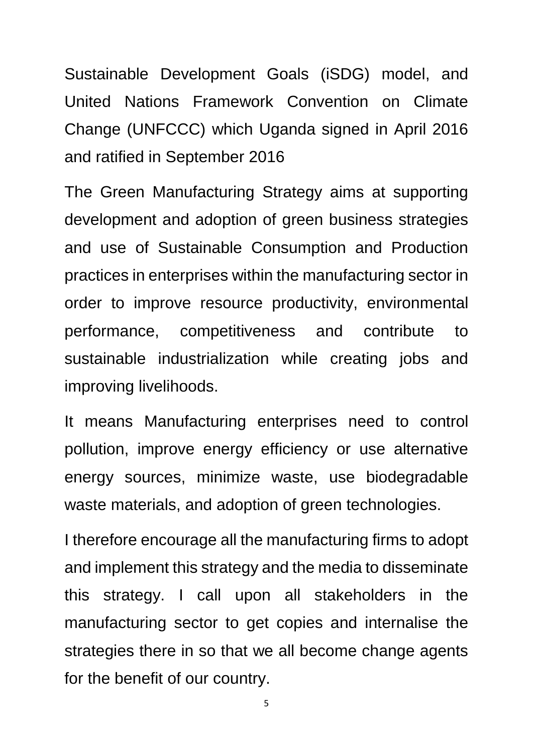Sustainable Development Goals (iSDG) model, and United Nations Framework Convention on Climate Change (UNFCCC) which Uganda signed in April 2016 and ratified in September 2016

The Green Manufacturing Strategy aims at supporting development and adoption of green business strategies and use of Sustainable Consumption and Production practices in enterprises within the manufacturing sector in order to improve resource productivity, environmental performance, competitiveness and contribute to sustainable industrialization while creating jobs and improving livelihoods.

It means Manufacturing enterprises need to control pollution, improve energy efficiency or use alternative energy sources, minimize waste, use biodegradable waste materials, and adoption of green technologies.

I therefore encourage all the manufacturing firms to adopt and implement this strategy and the media to disseminate this strategy. I call upon all stakeholders in the manufacturing sector to get copies and internalise the strategies there in so that we all become change agents for the benefit of our country.

5